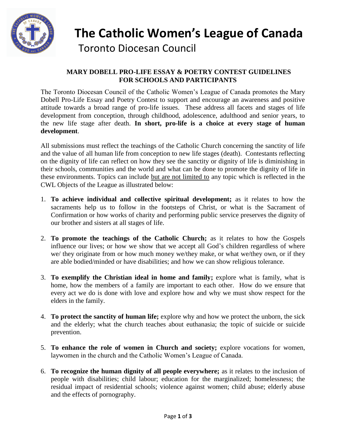

# **The Catholic Women's League of Canada** Toronto Diocesan Council

# **MARY DOBELL PRO-LIFE ESSAY & POETRY CONTEST GUIDELINES FOR SCHOOLS AND PARTICIPANTS**

The Toronto Diocesan Council of the Catholic Women's League of Canada promotes the Mary Dobell Pro-Life Essay and Poetry Contest to support and encourage an awareness and positive attitude towards a broad range of pro-life issues. These address all facets and stages of life development from conception, through childhood, adolescence, adulthood and senior years, to the new life stage after death. **In short, pro-life is a choice at every stage of human development**.

All submissions must reflect the teachings of the Catholic Church concerning the sanctity of life and the value of all human life from conception to new life stages (death). Contestants reflecting on the dignity of life can reflect on how they see the sanctity or dignity of life is diminishing in their schools, communities and the world and what can be done to promote the dignity of life in these environments. Topics can include but are not limited to any topic which is reflected in the CWL Objects of the League as illustrated below:

- 1. **To achieve individual and collective spiritual development;** as it relates to how the sacraments help us to follow in the footsteps of Christ, or what is the Sacrament of Confirmation or how works of charity and performing public service preserves the dignity of our brother and sisters at all stages of life.
- 2. **To promote the teachings of the Catholic Church;** as it relates to how the Gospels influence our lives; or how we show that we accept all God's children regardless of where we/ they originate from or how much money we/they make, or what we/they own, or if they are able bodied/minded or have disabilities; and how we can show religious tolerance.
- 3. **To exemplify the Christian ideal in home and family;** explore what is family, what is home, how the members of a family are important to each other. How do we ensure that every act we do is done with love and explore how and why we must show respect for the elders in the family.
- 4. **To protect the sanctity of human life;** explore why and how we protect the unborn, the sick and the elderly; what the church teaches about euthanasia; the topic of suicide or suicide prevention.
- 5. **To enhance the role of women in Church and society;** explore vocations for women, laywomen in the church and the Catholic Women's League of Canada.
- 6. **To recognize the human dignity of all people everywhere;** as it relates to the inclusion of people with disabilities; child labour; education for the marginalized; homelessness; the residual impact of residential schools; violence against women; child abuse; elderly abuse and the effects of pornography.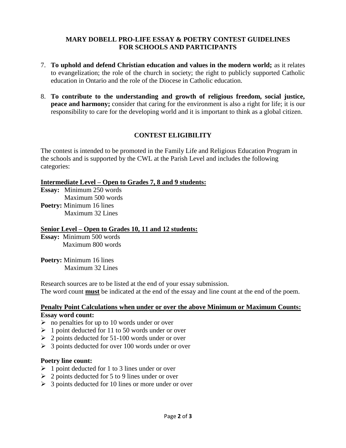# **MARY DOBELL PRO-LIFE ESSAY & POETRY CONTEST GUIDELINES FOR SCHOOLS AND PARTICIPANTS**

- 7. **To uphold and defend Christian education and values in the modern world;** as it relates to evangelization; the role of the church in society; the right to publicly supported Catholic education in Ontario and the role of the Diocese in Catholic education.
- 8. **To contribute to the understanding and growth of religious freedom, social justice, peace and harmony;** consider that caring for the environment is also a right for life; it is our responsibility to care for the developing world and it is important to think as a global citizen.

# **CONTEST ELIGIBILITY**

The contest is intended to be promoted in the Family Life and Religious Education Program in the schools and is supported by the CWL at the Parish Level and includes the following categories:

## **Intermediate Level – Open to Grades 7, 8 and 9 students:**

- **Essay:** Minimum 250 words Maximum 500 words
- **Poetry:** Minimum 16 lines Maximum 32 Lines

## **Senior Level – Open to Grades 10, 11 and 12 students:**

**Essay:** Minimum 500 words Maximum 800 words

**Poetry:** Minimum 16 lines Maximum 32 Lines

Research sources are to be listed at the end of your essay submission. The word count **must** be indicated at the end of the essay and line count at the end of the poem.

#### **Penalty Point Calculations when under or over the above Minimum or Maximum Counts: Essay word count:**

- $\triangleright$  no penalties for up to 10 words under or over
- $\geq 1$  point deducted for 11 to 50 words under or over
- $\geq 2$  points deducted for 51-100 words under or over
- $\geq 3$  points deducted for over 100 words under or over

## **Poetry line count:**

- $\geq 1$  point deducted for 1 to 3 lines under or over
- $\geq 2$  points deducted for 5 to 9 lines under or over
- $\geq 3$  points deducted for 10 lines or more under or over